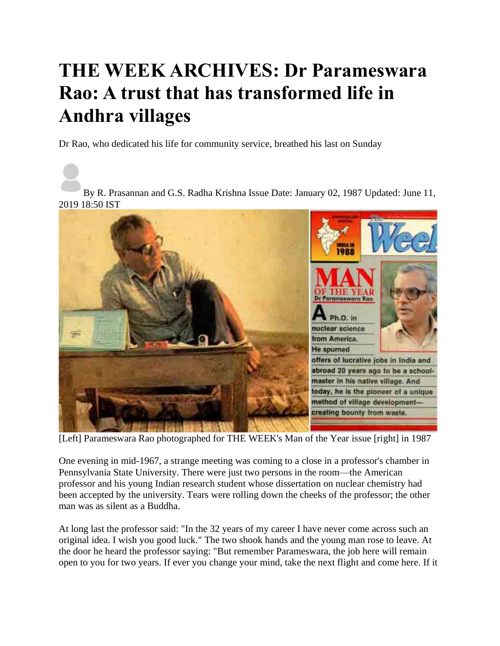## **THE WEEK ARCHIVES: Dr Parameswara Rao: A trust that has transformed life in Andhra villages**

Dr Rao, who dedicated his life for community service, breathed his last on Sunday

By R. Prasannan and G.S. Radha Krishna Issue Date: January 02, 1987 Updated: June 11, 2019 18:50 IST



[Left] Parameswara Rao photographed for THE WEEK's Man of the Year issue [right] in 1987

One evening in mid-1967, a strange meeting was coming to a close in a professor's chamber in Pennsylvania State University. There were just two persons in the room—the American professor and his young Indian research student whose dissertation on nuclear chemistry had been accepted by the university. Tears were rolling down the cheeks of the professor; the other man was as silent as a Buddha.

At long last the professor said: "In the 32 years of my career I have never come across such an original idea. I wish you good luck." The two shook hands and the young man rose to leave. At the door he heard the professor saying: "But remember Parameswara, the job here will remain open to you for two years. If ever you change your mind, take the next flight and come here. If it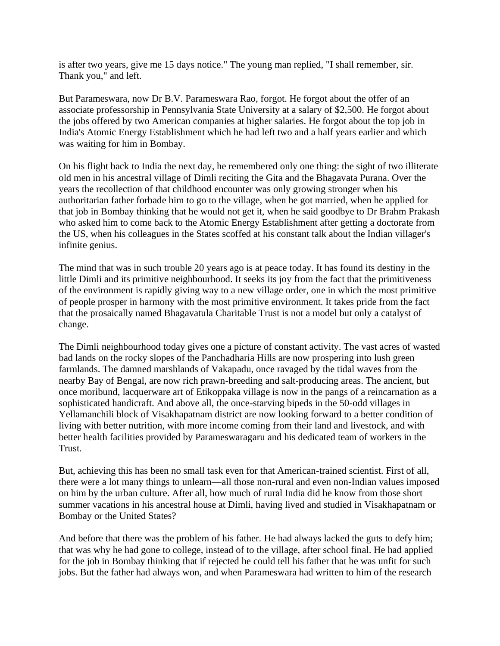is after two years, give me 15 days notice." The young man replied, "I shall remember, sir. Thank you," and left.

But Parameswara, now Dr B.V. Parameswara Rao, forgot. He forgot about the offer of an associate professorship in Pennsylvania State University at a salary of \$2,500. He forgot about the jobs offered by two American companies at higher salaries. He forgot about the top job in India's Atomic Energy Establishment which he had left two and a half years earlier and which was waiting for him in Bombay.

On his flight back to India the next day, he remembered only one thing: the sight of two illiterate old men in his ancestral village of Dimli reciting the Gita and the Bhagavata Purana. Over the years the recollection of that childhood encounter was only growing stronger when his authoritarian father forbade him to go to the village, when he got married, when he applied for that job in Bombay thinking that he would not get it, when he said goodbye to Dr Brahm Prakash who asked him to come back to the Atomic Energy Establishment after getting a doctorate from the US, when his colleagues in the States scoffed at his constant talk about the Indian villager's infinite genius.

The mind that was in such trouble 20 years ago is at peace today. It has found its destiny in the little Dimli and its primitive neighbourhood. It seeks its joy from the fact that the primitiveness of the environment is rapidly giving way to a new village order, one in which the most primitive of people prosper in harmony with the most primitive environment. It takes pride from the fact that the prosaically named Bhagavatula Charitable Trust is not a model but only a catalyst of change.

The Dimli neighbourhood today gives one a picture of constant activity. The vast acres of wasted bad lands on the rocky slopes of the Panchadharia Hills are now prospering into lush green farmlands. The damned marshlands of Vakapadu, once ravaged by the tidal waves from the nearby Bay of Bengal, are now rich prawn-breeding and salt-producing areas. The ancient, but once moribund, lacquerware art of Etikoppaka village is now in the pangs of a reincarnation as a sophisticated handicraft. And above all, the once-starving bipeds in the 50-odd villages in Yellamanchili block of Visakhapatnam district are now looking forward to a better condition of living with better nutrition, with more income coming from their land and livestock, and with better health facilities provided by Parameswaragaru and his dedicated team of workers in the Trust.

But, achieving this has been no small task even for that American-trained scientist. First of all, there were a lot many things to unlearn—all those non-rural and even non-Indian values imposed on him by the urban culture. After all, how much of rural India did he know from those short summer vacations in his ancestral house at Dimli, having lived and studied in Visakhapatnam or Bombay or the United States?

And before that there was the problem of his father. He had always lacked the guts to defy him; that was why he had gone to college, instead of to the village, after school final. He had applied for the job in Bombay thinking that if rejected he could tell his father that he was unfit for such jobs. But the father had always won, and when Parameswara had written to him of the research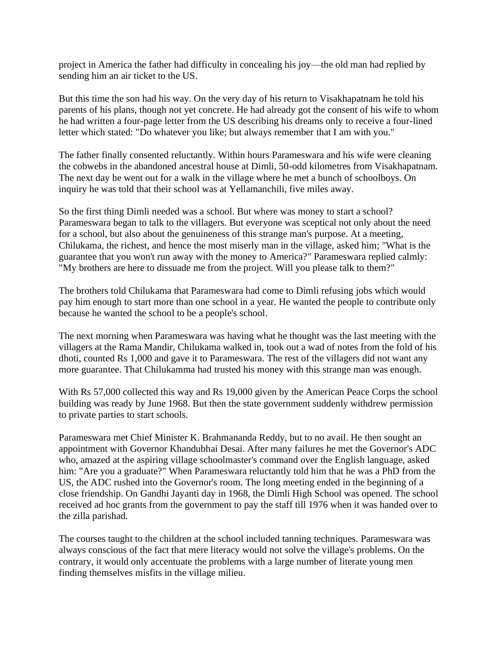project in America the father had difficulty in concealing his joy—the old man had replied by sending him an air ticket to the US.

But this time the son had his way. On the very day of his return to Visakhapatnam he told his parents of his plans, though not yet concrete. He had already got the consent of his wife to whom he had written a four-page letter from the US describing his dreams only to receive a four-lined letter which stated: "Do whatever you like; but always remember that I am with you."

The father finally consented reluctantly. Within hours Parameswara and his wife were cleaning the cobwebs in the abandoned ancestral house at Dimli, 50-odd kilometres from Visakhapatnam. The next day he went out for a walk in the village where he met a bunch of schoolboys. On inquiry he was told that their school was at Yellamanchili, five miles away.

So the first thing Dimli needed was a school. But where was money to start a school? Parameswara began to talk to the villagers. But everyone was sceptical not only about the need for a school, but also about the genuineness of this strange man's purpose. At a meeting, Chilukama, the richest, and hence the most miserly man in the village, asked him; "What is the guarantee that you won't run away with the money to America?" Parameswara replied calmly: "My brothers are here to dissuade me from the project. Will you please talk to them?"

The brothers told Chilukama that Parameswara had come to Dimli refusing jobs which would pay him enough to start more than one school in a year. He wanted the people to contribute only because he wanted the school to be a people's school.

The next morning when Parameswara was having what he thought was the last meeting with the villagers at the Rama Mandir, Chilukama walked in, took out a wad of notes from the fold of his dhoti, counted Rs 1,000 and gave it to Parameswara. The rest of the villagers did not want any more guarantee. That Chilukamma had trusted his money with this strange man was enough.

With Rs 57,000 collected this way and Rs 19,000 given by the American Peace Corps the school building was ready by June 1968. But then the state government suddenly withdrew permission to private parties to start schools.

Parameswara met Chief Minister K. Brahmananda Reddy, but to no avail. He then sought an appointment with Governor Khandubhai Desai. After many failures he met the Governor's ADC who, amazed at the aspiring village schoolmaster's command over the English language, asked him: "Are you a graduate?" When Parameswara reluctantly told him that he was a PhD from the US, the ADC rushed into the Governor's room. The long meeting ended in the beginning of a close friendship. On Gandhi Jayanti day in 1968, the Dimli High School was opened. The school received ad hoc grants from the government to pay the staff till 1976 when it was handed over to the zilla parishad.

The courses taught to the children at the school included tanning techniques. Parameswara was always conscious of the fact that mere literacy would not solve the village's problems. On the contrary, it would only accentuate the problems with a large number of literate young men finding themselves misfits in the village milieu.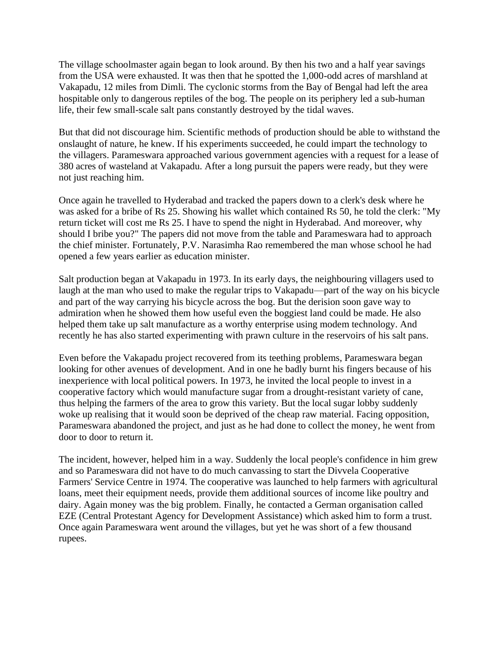The village schoolmaster again began to look around. By then his two and a half year savings from the USA were exhausted. It was then that he spotted the 1,000-odd acres of marshland at Vakapadu, 12 miles from Dimli. The cyclonic storms from the Bay of Bengal had left the area hospitable only to dangerous reptiles of the bog. The people on its periphery led a sub-human life, their few small-scale salt pans constantly destroyed by the tidal waves.

But that did not discourage him. Scientific methods of production should be able to withstand the onslaught of nature, he knew. If his experiments succeeded, he could impart the technology to the villagers. Parameswara approached various government agencies with a request for a lease of 380 acres of wasteland at Vakapadu. After a long pursuit the papers were ready, but they were not just reaching him.

Once again he travelled to Hyderabad and tracked the papers down to a clerk's desk where he was asked for a bribe of Rs 25. Showing his wallet which contained Rs 50, he told the clerk: "My return ticket will cost me Rs 25. I have to spend the night in Hyderabad. And moreover, why should I bribe you?" The papers did not move from the table and Parameswara had to approach the chief minister. Fortunately, P.V. Narasimha Rao remembered the man whose school he had opened a few years earlier as education minister.

Salt production began at Vakapadu in 1973. In its early days, the neighbouring villagers used to laugh at the man who used to make the regular trips to Vakapadu—part of the way on his bicycle and part of the way carrying his bicycle across the bog. But the derision soon gave way to admiration when he showed them how useful even the boggiest land could be made. He also helped them take up salt manufacture as a worthy enterprise using modem technology. And recently he has also started experimenting with prawn culture in the reservoirs of his salt pans.

Even before the Vakapadu project recovered from its teething problems, Parameswara began looking for other avenues of development. And in one he badly burnt his fingers because of his inexperience with local political powers. In 1973, he invited the local people to invest in a cooperative factory which would manufacture sugar from a drought-resistant variety of cane, thus helping the farmers of the area to grow this variety. But the local sugar lobby suddenly woke up realising that it would soon be deprived of the cheap raw material. Facing opposition, Parameswara abandoned the project, and just as he had done to collect the money, he went from door to door to return it.

The incident, however, helped him in a way. Suddenly the local people's confidence in him grew and so Parameswara did not have to do much canvassing to start the Divvela Cooperative Farmers' Service Centre in 1974. The cooperative was launched to help farmers with agricultural loans, meet their equipment needs, provide them additional sources of income like poultry and dairy. Again money was the big problem. Finally, he contacted a German organisation called EZE (Central Protestant Agency for Development Assistance) which asked him to form a trust. Once again Parameswara went around the villages, but yet he was short of a few thousand rupees.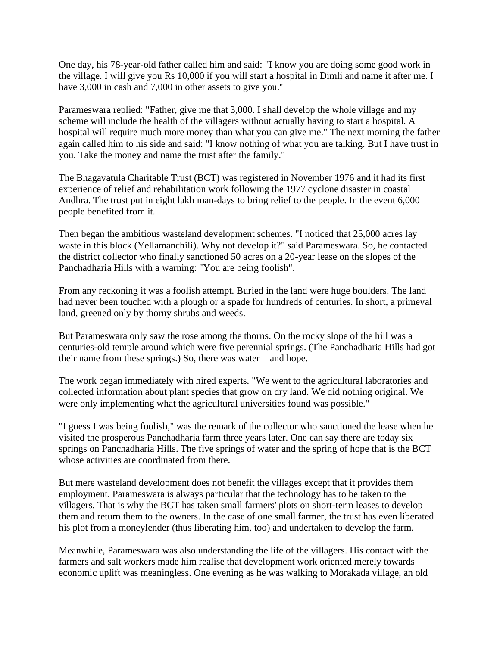One day, his 78-year-old father called him and said: "I know you are doing some good work in the village. I will give you Rs 10,000 if you will start a hospital in Dimli and name it after me. I have 3,000 in cash and 7,000 in other assets to give you."

Parameswara replied: "Father, give me that 3,000. I shall develop the whole village and my scheme will include the health of the villagers without actually having to start a hospital. A hospital will require much more money than what you can give me." The next morning the father again called him to his side and said: "I know nothing of what you are talking. But I have trust in you. Take the money and name the trust after the family."

The Bhagavatula Charitable Trust (BCT) was registered in November 1976 and it had its first experience of relief and rehabilitation work following the 1977 cyclone disaster in coastal Andhra. The trust put in eight lakh man-days to bring relief to the people. In the event 6,000 people benefited from it.

Then began the ambitious wasteland development schemes. "I noticed that 25,000 acres lay waste in this block (Yellamanchili). Why not develop it?" said Parameswara. So, he contacted the district collector who finally sanctioned 50 acres on a 20-year lease on the slopes of the Panchadharia Hills with a warning: "You are being foolish".

From any reckoning it was a foolish attempt. Buried in the land were huge boulders. The land had never been touched with a plough or a spade for hundreds of centuries. In short, a primeval land, greened only by thorny shrubs and weeds.

But Parameswara only saw the rose among the thorns. On the rocky slope of the hill was a centuries-old temple around which were five perennial springs. (The Panchadharia Hills had got their name from these springs.) So, there was water—and hope.

The work began immediately with hired experts. "We went to the agricultural laboratories and collected information about plant species that grow on dry land. We did nothing original. We were only implementing what the agricultural universities found was possible."

"I guess I was being foolish," was the remark of the collector who sanctioned the lease when he visited the prosperous Panchadharia farm three years later. One can say there are today six springs on Panchadharia Hills. The five springs of water and the spring of hope that is the BCT whose activities are coordinated from there.

But mere wasteland development does not benefit the villages except that it provides them employment. Parameswara is always particular that the technology has to be taken to the villagers. That is why the BCT has taken small farmers' plots on short-term leases to develop them and return them to the owners. In the case of one small farmer, the trust has even liberated his plot from a moneylender (thus liberating him, too) and undertaken to develop the farm.

Meanwhile, Parameswara was also understanding the life of the villagers. His contact with the farmers and salt workers made him realise that development work oriented merely towards economic uplift was meaningless. One evening as he was walking to Morakada village, an old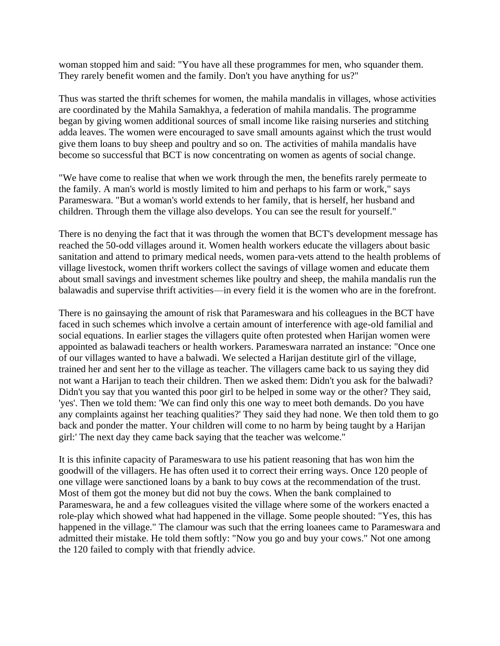woman stopped him and said: "You have all these programmes for men, who squander them. They rarely benefit women and the family. Don't you have anything for us?"

Thus was started the thrift schemes for women, the mahila mandalis in villages, whose activities are coordinated by the Mahila Samakhya, a federation of mahila mandalis. The programme began by giving women additional sources of small income like raising nurseries and stitching adda leaves. The women were encouraged to save small amounts against which the trust would give them loans to buy sheep and poultry and so on. The activities of mahila mandalis have become so successful that BCT is now concentrating on women as agents of social change.

"We have come to realise that when we work through the men, the benefits rarely permeate to the family. A man's world is mostly limited to him and perhaps to his farm or work," says Parameswara. "But a woman's world extends to her family, that is herself, her husband and children. Through them the village also develops. You can see the result for yourself."

There is no denying the fact that it was through the women that BCT's development message has reached the 50-odd villages around it. Women health workers educate the villagers about basic sanitation and attend to primary medical needs, women para-vets attend to the health problems of village livestock, women thrift workers collect the savings of village women and educate them about small savings and investment schemes like poultry and sheep, the mahila mandalis run the balawadis and supervise thrift activities—in every field it is the women who are in the forefront.

There is no gainsaying the amount of risk that Parameswara and his colleagues in the BCT have faced in such schemes which involve a certain amount of interference with age-old familial and social equations. In earlier stages the villagers quite often protested when Harijan women were appointed as balawadi teachers or health workers. Parameswara narrated an instance: "Once one of our villages wanted to have a balwadi. We selected a Harijan destitute girl of the village, trained her and sent her to the village as teacher. The villagers came back to us saying they did not want a Harijan to teach their children. Then we asked them: Didn't you ask for the balwadi? Didn't you say that you wanted this poor girl to be helped in some way or the other? They said, 'yes'. Then we told them: 'We can find only this one way to meet both demands. Do you have any complaints against her teaching qualities?' They said they had none. We then told them to go back and ponder the matter. Your children will come to no harm by being taught by a Harijan girl:' The next day they came back saying that the teacher was welcome."

It is this infinite capacity of Parameswara to use his patient reasoning that has won him the goodwill of the villagers. He has often used it to correct their erring ways. Once 120 people of one village were sanctioned loans by a bank to buy cows at the recommendation of the trust. Most of them got the money but did not buy the cows. When the bank complained to Parameswara, he and a few colleagues visited the village where some of the workers enacted a role-play which showed what had happened in the village. Some people shouted: "Yes, this has happened in the village." The clamour was such that the erring loanees came to Parameswara and admitted their mistake. He told them softly: "Now you go and buy your cows." Not one among the 120 failed to comply with that friendly advice.